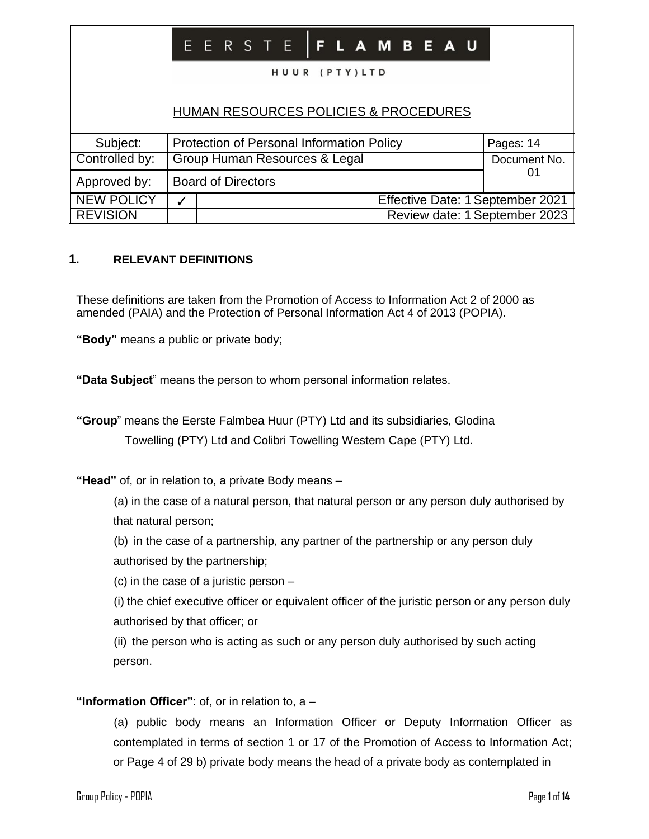|                                                  |                                                                            |                                                                   |  |  |  |  | HUUR (PTY)LTD |  |  |  | E E R S T E   F L A M B E A U |  |                           |  |  |  |
|--------------------------------------------------|----------------------------------------------------------------------------|-------------------------------------------------------------------|--|--|--|--|---------------|--|--|--|-------------------------------|--|---------------------------|--|--|--|
| <b>HUMAN RESOURCES POLICIES &amp; PROCEDURES</b> |                                                                            |                                                                   |  |  |  |  |               |  |  |  |                               |  |                           |  |  |  |
| Subject:<br>Controlled by:                       | Protection of Personal Information Policy<br>Group Human Resources & Legal |                                                                   |  |  |  |  |               |  |  |  |                               |  | Pages: 14<br>Document No. |  |  |  |
| Approved by:                                     | <b>Board of Directors</b>                                                  |                                                                   |  |  |  |  |               |  |  |  |                               |  | 01                        |  |  |  |
| <b>NEW POLICY</b><br><b>REVISION</b>             | ✓                                                                          | Effective Date: 1 September 2021<br>Review date: 1 September 2023 |  |  |  |  |               |  |  |  |                               |  |                           |  |  |  |

## **1. RELEVANT DEFINITIONS**

These definitions are taken from the Promotion of Access to Information Act 2 of 2000 as amended (PAIA) and the Protection of Personal Information Act 4 of 2013 (POPIA).

**"Body"** means a public or private body;

**"Data Subject**" means the person to whom personal information relates.

**"Group**" means the Eerste Falmbea Huur (PTY) Ltd and its subsidiaries, Glodina Towelling (PTY) Ltd and Colibri Towelling Western Cape (PTY) Ltd.

**"Head"** of, or in relation to, a private Body means –

(a) in the case of a natural person, that natural person or any person duly authorised by that natural person;

(b) in the case of a partnership, any partner of the partnership or any person duly authorised by the partnership;

(c) in the case of a juristic person –

(i) the chief executive officer or equivalent officer of the juristic person or any person duly authorised by that officer; or

(ii) the person who is acting as such or any person duly authorised by such acting person.

## **"Information Officer"**: of, or in relation to, a –

(a) public body means an Information Officer or Deputy Information Officer as contemplated in terms of section 1 or 17 of the Promotion of Access to Information Act; or Page 4 of 29 b) private body means the head of a private body as contemplated in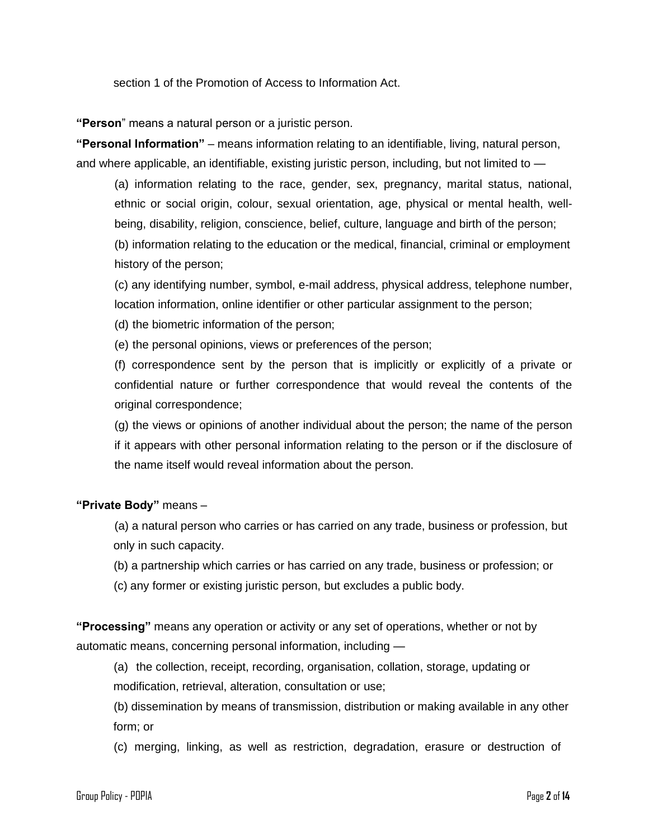section 1 of the Promotion of Access to Information Act.

**"Person**" means a natural person or a juristic person.

**"Personal Information"** – means information relating to an identifiable, living, natural person, and where applicable, an identifiable, existing juristic person, including, but not limited to —

(a) information relating to the race, gender, sex, pregnancy, marital status, national, ethnic or social origin, colour, sexual orientation, age, physical or mental health, wellbeing, disability, religion, conscience, belief, culture, language and birth of the person; (b) information relating to the education or the medical, financial, criminal or employment history of the person;

(c) any identifying number, symbol, e-mail address, physical address, telephone number, location information, online identifier or other particular assignment to the person;

(d) the biometric information of the person;

(e) the personal opinions, views or preferences of the person;

(f) correspondence sent by the person that is implicitly or explicitly of a private or confidential nature or further correspondence that would reveal the contents of the original correspondence;

(g) the views or opinions of another individual about the person; the name of the person if it appears with other personal information relating to the person or if the disclosure of the name itself would reveal information about the person.

#### **"Private Body"** means –

(a) a natural person who carries or has carried on any trade, business or profession, but only in such capacity.

(b) a partnership which carries or has carried on any trade, business or profession; or

(c) any former or existing juristic person, but excludes a public body.

**"Processing"** means any operation or activity or any set of operations, whether or not by automatic means, concerning personal information, including —

(a) the collection, receipt, recording, organisation, collation, storage, updating or modification, retrieval, alteration, consultation or use;

(b) dissemination by means of transmission, distribution or making available in any other form; or

(c) merging, linking, as well as restriction, degradation, erasure or destruction of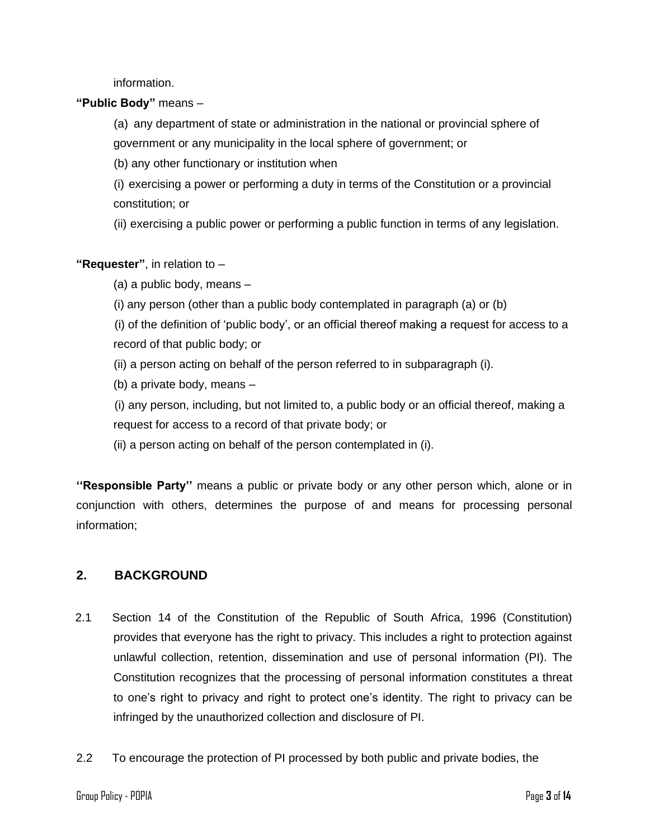information.

**"Public Body"** means –

(a) any department of state or administration in the national or provincial sphere of government or any municipality in the local sphere of government; or

(b) any other functionary or institution when

(i) exercising a power or performing a duty in terms of the Constitution or a provincial constitution; or

(ii) exercising a public power or performing a public function in terms of any legislation.

## **"Requester"**, in relation to –

(a) a public body, means –

(i) any person (other than a public body contemplated in paragraph (a) or (b)

(i) of the definition of 'public body', or an official thereof making a request for access to a record of that public body; or

- (ii) a person acting on behalf of the person referred to in subparagraph (i).
- (b) a private body, means –

(i) any person, including, but not limited to, a public body or an official thereof, making a request for access to a record of that private body; or

(ii) a person acting on behalf of the person contemplated in (i).

**''Responsible Party''** means a public or private body or any other person which, alone or in conjunction with others, determines the purpose of and means for processing personal information;

## **2. BACKGROUND**

- 2.1 Section 14 of the Constitution of the Republic of South Africa, 1996 (Constitution) provides that everyone has the right to privacy. This includes a right to protection against unlawful collection, retention, dissemination and use of personal information (PI). The Constitution recognizes that the processing of personal information constitutes a threat to one's right to privacy and right to protect one's identity. The right to privacy can be infringed by the unauthorized collection and disclosure of PI.
- 2.2 To encourage the protection of PI processed by both public and private bodies, the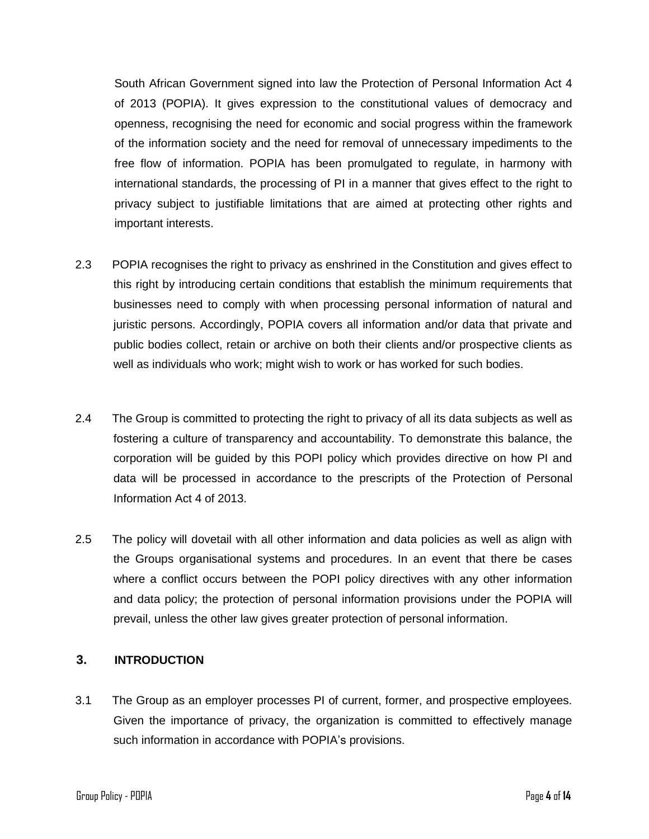South African Government signed into law the Protection of Personal Information Act 4 of 2013 (POPIA). It gives expression to the constitutional values of democracy and openness, recognising the need for economic and social progress within the framework of the information society and the need for removal of unnecessary impediments to the free flow of information. POPIA has been promulgated to regulate, in harmony with international standards, the processing of PI in a manner that gives effect to the right to privacy subject to justifiable limitations that are aimed at protecting other rights and important interests.

- 2.3 POPIA recognises the right to privacy as enshrined in the Constitution and gives effect to this right by introducing certain conditions that establish the minimum requirements that businesses need to comply with when processing personal information of natural and juristic persons. Accordingly, POPIA covers all information and/or data that private and public bodies collect, retain or archive on both their clients and/or prospective clients as well as individuals who work; might wish to work or has worked for such bodies.
- 2.4 The Group is committed to protecting the right to privacy of all its data subjects as well as fostering a culture of transparency and accountability. To demonstrate this balance, the corporation will be guided by this POPI policy which provides directive on how PI and data will be processed in accordance to the prescripts of the Protection of Personal Information Act 4 of 2013.
- 2.5 The policy will dovetail with all other information and data policies as well as align with the Groups organisational systems and procedures. In an event that there be cases where a conflict occurs between the POPI policy directives with any other information and data policy; the protection of personal information provisions under the POPIA will prevail, unless the other law gives greater protection of personal information.

# **3. INTRODUCTION**

3.1 The Group as an employer processes PI of current, former, and prospective employees. Given the importance of privacy, the organization is committed to effectively manage such information in accordance with POPIA's provisions.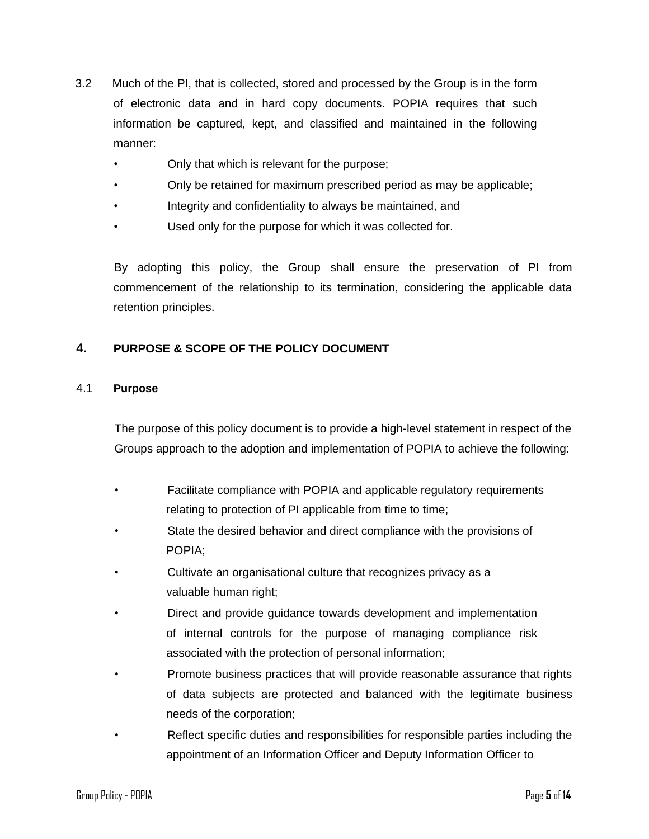- 3.2 Much of the PI, that is collected, stored and processed by the Group is in the form of electronic data and in hard copy documents. POPIA requires that such information be captured, kept, and classified and maintained in the following manner:
	- Only that which is relevant for the purpose;
	- Only be retained for maximum prescribed period as may be applicable;
	- Integrity and confidentiality to always be maintained, and
	- Used only for the purpose for which it was collected for.

By adopting this policy, the Group shall ensure the preservation of PI from commencement of the relationship to its termination, considering the applicable data retention principles.

# **4. PURPOSE & SCOPE OF THE POLICY DOCUMENT**

## 4.1 **Purpose**

The purpose of this policy document is to provide a high-level statement in respect of the Groups approach to the adoption and implementation of POPIA to achieve the following:

- Facilitate compliance with POPIA and applicable regulatory requirements relating to protection of PI applicable from time to time;
- State the desired behavior and direct compliance with the provisions of POPIA;
- Cultivate an organisational culture that recognizes privacy as a valuable human right;
- Direct and provide guidance towards development and implementation of internal controls for the purpose of managing compliance risk associated with the protection of personal information;
- Promote business practices that will provide reasonable assurance that rights of data subjects are protected and balanced with the legitimate business needs of the corporation;
- Reflect specific duties and responsibilities for responsible parties including the appointment of an Information Officer and Deputy Information Officer to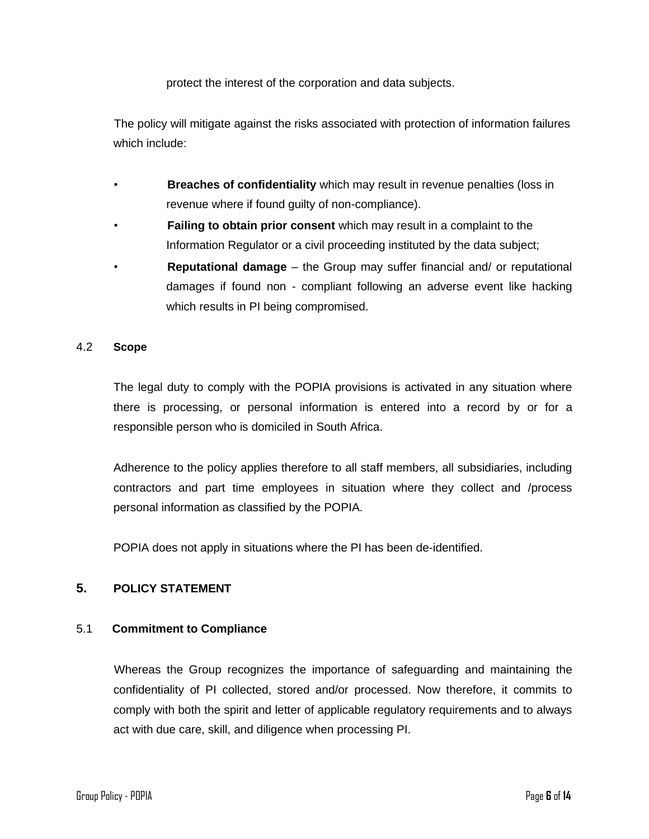protect the interest of the corporation and data subjects.

The policy will mitigate against the risks associated with protection of information failures which include:

- **Breaches of confidentiality** which may result in revenue penalties (loss in revenue where if found guilty of non-compliance).
- **Failing to obtain prior consent** which may result in a complaint to the Information Regulator or a civil proceeding instituted by the data subject;
- **Reputational damage** the Group may suffer financial and/ or reputational damages if found non - compliant following an adverse event like hacking which results in PI being compromised.

#### 4.2 **Scope**

The legal duty to comply with the POPIA provisions is activated in any situation where there is processing, or personal information is entered into a record by or for a responsible person who is domiciled in South Africa.

Adherence to the policy applies therefore to all staff members, all subsidiaries, including contractors and part time employees in situation where they collect and /process personal information as classified by the POPIA.

POPIA does not apply in situations where the PI has been de-identified.

## **5. POLICY STATEMENT**

## 5.1 **Commitment to Compliance**

Whereas the Group recognizes the importance of safeguarding and maintaining the confidentiality of PI collected, stored and/or processed. Now therefore, it commits to comply with both the spirit and letter of applicable regulatory requirements and to always act with due care, skill, and diligence when processing PI.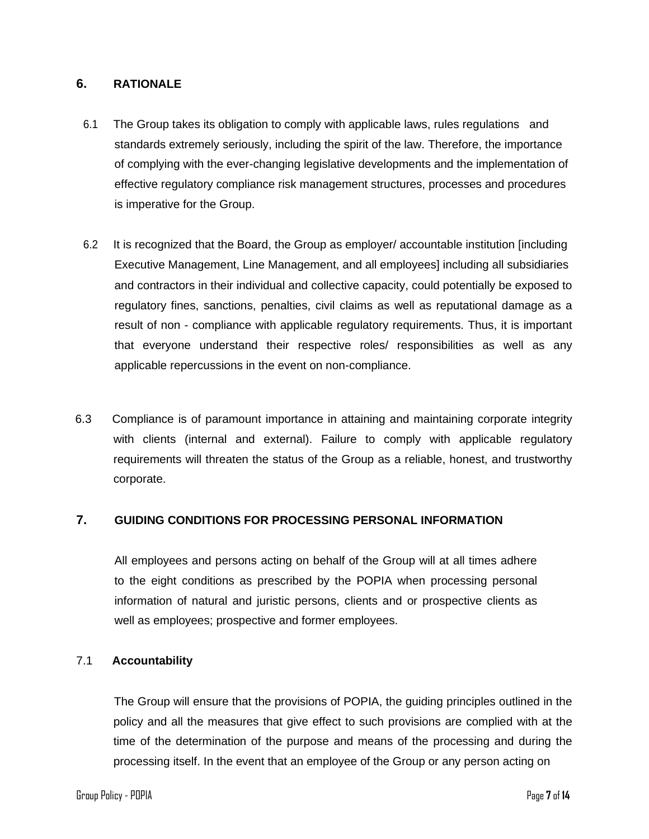## **6. RATIONALE**

- 6.1 The Group takes its obligation to comply with applicable laws, rules regulations and standards extremely seriously, including the spirit of the law. Therefore, the importance of complying with the ever-changing legislative developments and the implementation of effective regulatory compliance risk management structures, processes and procedures is imperative for the Group.
- 6.2 It is recognized that the Board, the Group as employer/ accountable institution [including Executive Management, Line Management, and all employees] including all subsidiaries and contractors in their individual and collective capacity, could potentially be exposed to regulatory fines, sanctions, penalties, civil claims as well as reputational damage as a result of non - compliance with applicable regulatory requirements. Thus, it is important that everyone understand their respective roles/ responsibilities as well as any applicable repercussions in the event on non-compliance.
- 6.3 Compliance is of paramount importance in attaining and maintaining corporate integrity with clients (internal and external). Failure to comply with applicable regulatory requirements will threaten the status of the Group as a reliable, honest, and trustworthy corporate.

## **7. GUIDING CONDITIONS FOR PROCESSING PERSONAL INFORMATION**

All employees and persons acting on behalf of the Group will at all times adhere to the eight conditions as prescribed by the POPIA when processing personal information of natural and juristic persons, clients and or prospective clients as well as employees; prospective and former employees.

## 7.1 **Accountability**

The Group will ensure that the provisions of POPIA, the guiding principles outlined in the policy and all the measures that give effect to such provisions are complied with at the time of the determination of the purpose and means of the processing and during the processing itself. In the event that an employee of the Group or any person acting on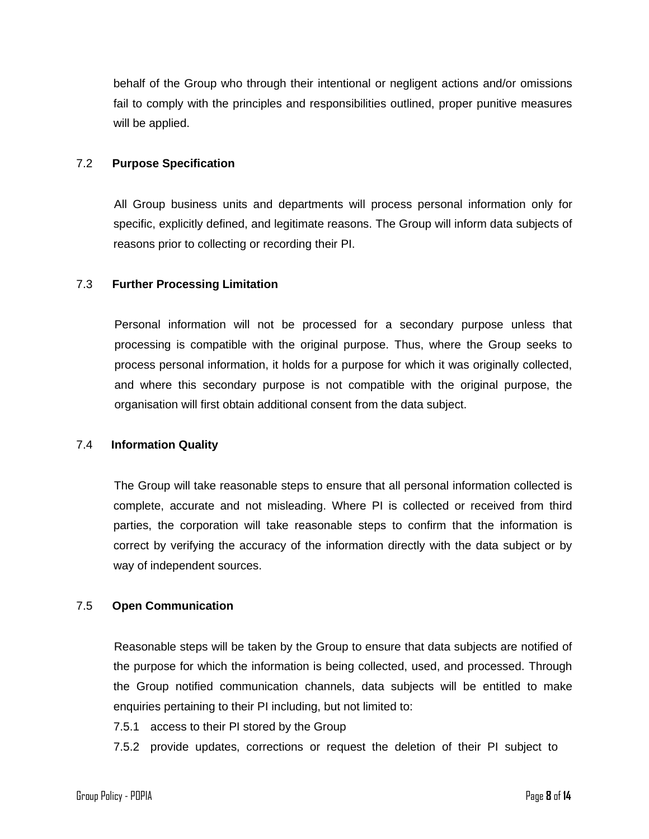behalf of the Group who through their intentional or negligent actions and/or omissions fail to comply with the principles and responsibilities outlined, proper punitive measures will be applied.

### 7.2 **Purpose Specification**

All Group business units and departments will process personal information only for specific, explicitly defined, and legitimate reasons. The Group will inform data subjects of reasons prior to collecting or recording their PI.

#### 7.3 **Further Processing Limitation**

Personal information will not be processed for a secondary purpose unless that processing is compatible with the original purpose. Thus, where the Group seeks to process personal information, it holds for a purpose for which it was originally collected, and where this secondary purpose is not compatible with the original purpose, the organisation will first obtain additional consent from the data subject.

#### 7.4 **Information Quality**

The Group will take reasonable steps to ensure that all personal information collected is complete, accurate and not misleading. Where PI is collected or received from third parties, the corporation will take reasonable steps to confirm that the information is correct by verifying the accuracy of the information directly with the data subject or by way of independent sources.

## 7.5 **Open Communication**

Reasonable steps will be taken by the Group to ensure that data subjects are notified of the purpose for which the information is being collected, used, and processed. Through the Group notified communication channels, data subjects will be entitled to make enquiries pertaining to their PI including, but not limited to:

7.5.1 access to their PI stored by the Group

7.5.2 provide updates, corrections or request the deletion of their PI subject to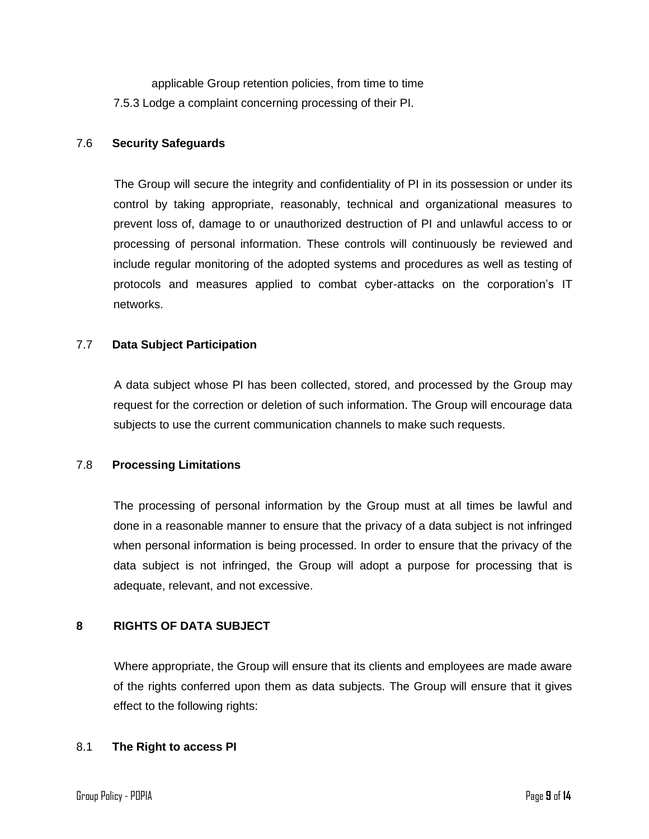applicable Group retention policies, from time to time 7.5.3 Lodge a complaint concerning processing of their PI.

### 7.6 **Security Safeguards**

The Group will secure the integrity and confidentiality of PI in its possession or under its control by taking appropriate, reasonably, technical and organizational measures to prevent loss of, damage to or unauthorized destruction of PI and unlawful access to or processing of personal information. These controls will continuously be reviewed and include regular monitoring of the adopted systems and procedures as well as testing of protocols and measures applied to combat cyber-attacks on the corporation's IT networks.

## 7.7 **Data Subject Participation**

A data subject whose PI has been collected, stored, and processed by the Group may request for the correction or deletion of such information. The Group will encourage data subjects to use the current communication channels to make such requests.

#### 7.8 **Processing Limitations**

The processing of personal information by the Group must at all times be lawful and done in a reasonable manner to ensure that the privacy of a data subject is not infringed when personal information is being processed. In order to ensure that the privacy of the data subject is not infringed, the Group will adopt a purpose for processing that is adequate, relevant, and not excessive.

## **8 RIGHTS OF DATA SUBJECT**

Where appropriate, the Group will ensure that its clients and employees are made aware of the rights conferred upon them as data subjects. The Group will ensure that it gives effect to the following rights:

#### 8.1 **The Right to access PI**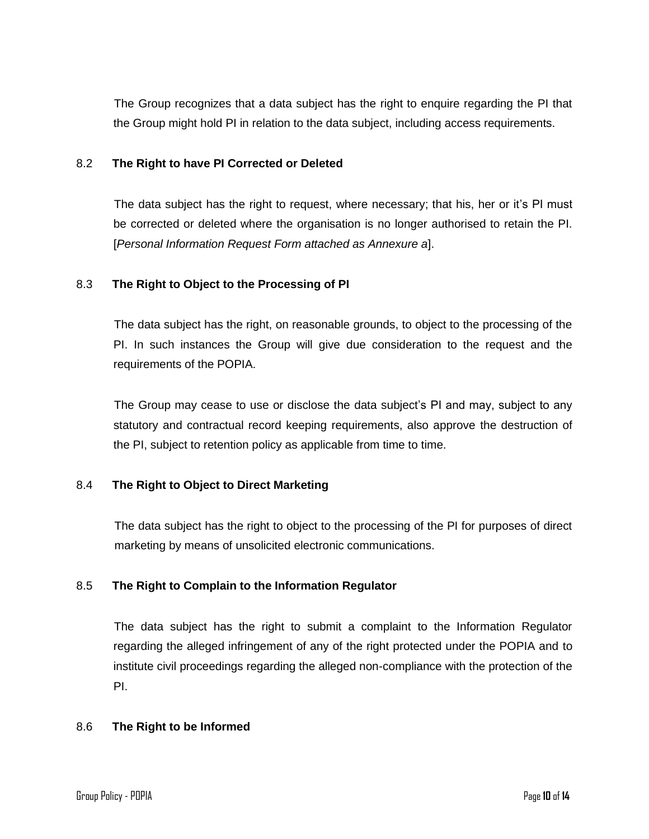The Group recognizes that a data subject has the right to enquire regarding the PI that the Group might hold PI in relation to the data subject, including access requirements.

## 8.2 **The Right to have PI Corrected or Deleted**

The data subject has the right to request, where necessary; that his, her or it's PI must be corrected or deleted where the organisation is no longer authorised to retain the PI. [*Personal Information Request Form attached as Annexure a*].

## 8.3 **The Right to Object to the Processing of PI**

The data subject has the right, on reasonable grounds, to object to the processing of the PI. In such instances the Group will give due consideration to the request and the requirements of the POPIA.

The Group may cease to use or disclose the data subject's PI and may, subject to any statutory and contractual record keeping requirements, also approve the destruction of the PI, subject to retention policy as applicable from time to time.

## 8.4 **The Right to Object to Direct Marketing**

The data subject has the right to object to the processing of the PI for purposes of direct marketing by means of unsolicited electronic communications.

## 8.5 **The Right to Complain to the Information Regulator**

The data subject has the right to submit a complaint to the Information Regulator regarding the alleged infringement of any of the right protected under the POPIA and to institute civil proceedings regarding the alleged non-compliance with the protection of the PI.

## 8.6 **The Right to be Informed**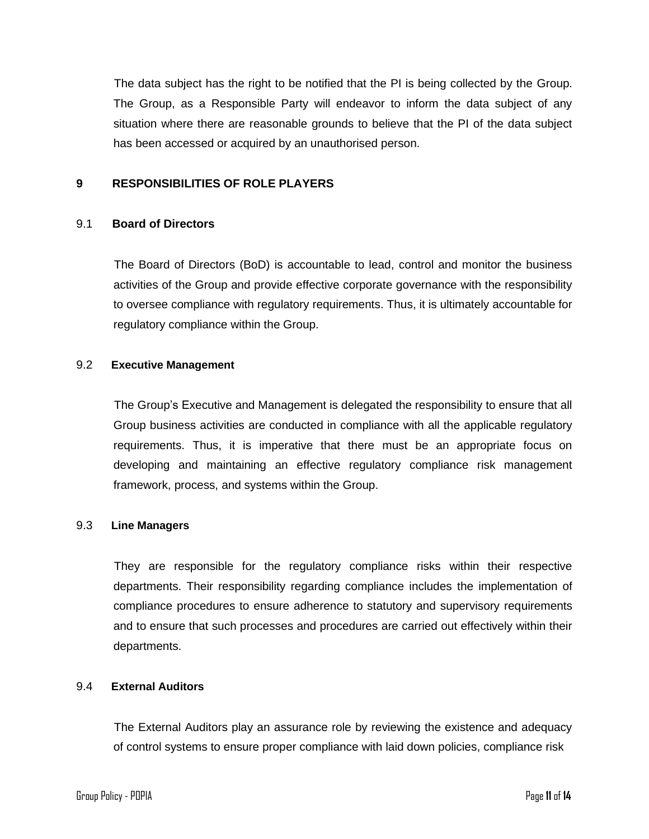The data subject has the right to be notified that the PI is being collected by the Group. The Group, as a Responsible Party will endeavor to inform the data subject of any situation where there are reasonable grounds to believe that the PI of the data subject has been accessed or acquired by an unauthorised person.

## **9 RESPONSIBILITIES OF ROLE PLAYERS**

## 9.1 **Board of Directors**

The Board of Directors (BoD) is accountable to lead, control and monitor the business activities of the Group and provide effective corporate governance with the responsibility to oversee compliance with regulatory requirements. Thus, it is ultimately accountable for regulatory compliance within the Group.

#### 9.2 **Executive Management**

The Group's Executive and Management is delegated the responsibility to ensure that all Group business activities are conducted in compliance with all the applicable regulatory requirements. Thus, it is imperative that there must be an appropriate focus on developing and maintaining an effective regulatory compliance risk management framework, process, and systems within the Group.

## 9.3 **Line Managers**

They are responsible for the regulatory compliance risks within their respective departments. Their responsibility regarding compliance includes the implementation of compliance procedures to ensure adherence to statutory and supervisory requirements and to ensure that such processes and procedures are carried out effectively within their departments.

#### 9.4 **External Auditors**

The External Auditors play an assurance role by reviewing the existence and adequacy of control systems to ensure proper compliance with laid down policies, compliance risk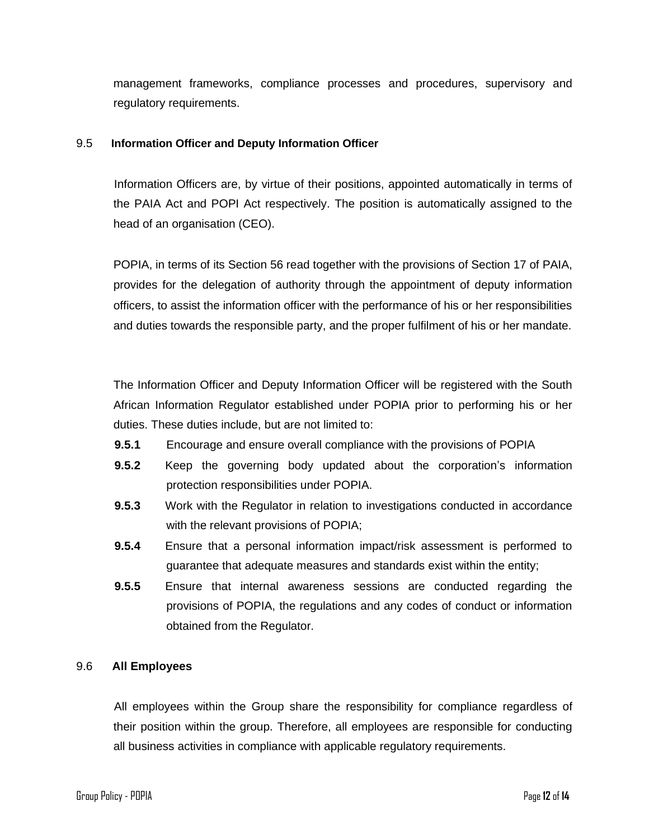management frameworks, compliance processes and procedures, supervisory and regulatory requirements.

#### 9.5 **Information Officer and Deputy Information Officer**

Information Officers are, by virtue of their positions, appointed automatically in terms of the PAIA Act and POPI Act respectively. The position is automatically assigned to the head of an organisation (CEO).

POPIA, in terms of its Section 56 read together with the provisions of Section 17 of PAIA, provides for the delegation of authority through the appointment of deputy information officers, to assist the information officer with the performance of his or her responsibilities and duties towards the responsible party, and the proper fulfilment of his or her mandate.

The Information Officer and Deputy Information Officer will be registered with the South African Information Regulator established under POPIA prior to performing his or her duties. These duties include, but are not limited to:

- **9.5.1** Encourage and ensure overall compliance with the provisions of POPIA
- **9.5.2** Keep the governing body updated about the corporation's information protection responsibilities under POPIA.
- **9.5.3** Work with the Regulator in relation to investigations conducted in accordance with the relevant provisions of POPIA;
- **9.5.4** Ensure that a personal information impact/risk assessment is performed to guarantee that adequate measures and standards exist within the entity;
- **9.5.5** Ensure that internal awareness sessions are conducted regarding the provisions of POPIA, the regulations and any codes of conduct or information obtained from the Regulator.

## 9.6 **All Employees**

All employees within the Group share the responsibility for compliance regardless of their position within the group. Therefore, all employees are responsible for conducting all business activities in compliance with applicable regulatory requirements.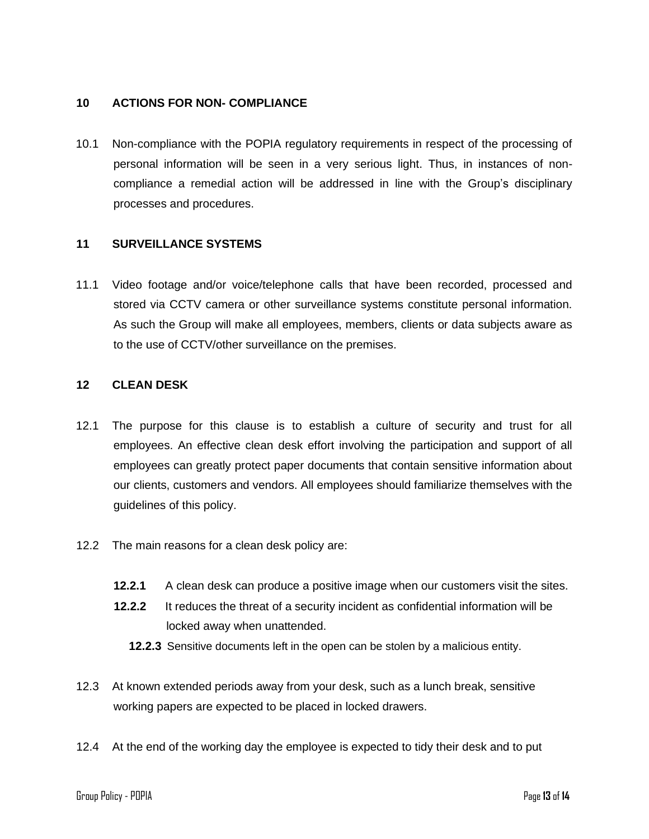## **10 ACTIONS FOR NON- COMPLIANCE**

10.1 Non-compliance with the POPIA regulatory requirements in respect of the processing of personal information will be seen in a very serious light. Thus, in instances of noncompliance a remedial action will be addressed in line with the Group's disciplinary processes and procedures.

## **11 SURVEILLANCE SYSTEMS**

11.1 Video footage and/or voice/telephone calls that have been recorded, processed and stored via CCTV camera or other surveillance systems constitute personal information. As such the Group will make all employees, members, clients or data subjects aware as to the use of CCTV/other surveillance on the premises.

## **12 CLEAN DESK**

- 12.1 The purpose for this clause is to establish a culture of security and trust for all employees. An effective clean desk effort involving the participation and support of all employees can greatly protect paper documents that contain sensitive information about our clients, customers and vendors. All employees should familiarize themselves with the guidelines of this policy.
- 12.2 The main reasons for a clean desk policy are:
	- **12.2.1** A clean desk can produce a positive image when our customers visit the sites.
	- **12.2.2** It reduces the threat of a security incident as confidential information will be locked away when unattended.
		- **12.2.3** Sensitive documents left in the open can be stolen by a malicious entity.
- 12.3 At known extended periods away from your desk, such as a lunch break, sensitive working papers are expected to be placed in locked drawers.
- 12.4 At the end of the working day the employee is expected to tidy their desk and to put